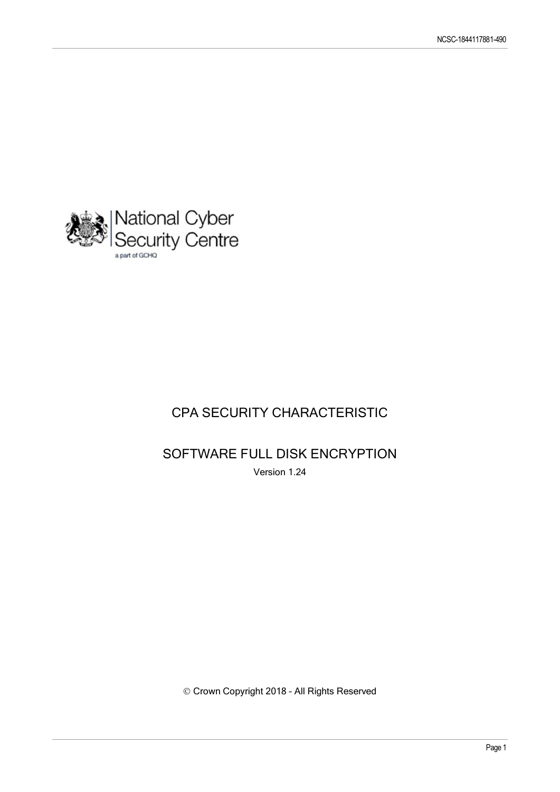

## CPA SECURITY CHARACTERISTIC

SOFTWARE FULL DISK ENCRYPTION Version 1.24

© Crown Copyright 2018 – All Rights Reserved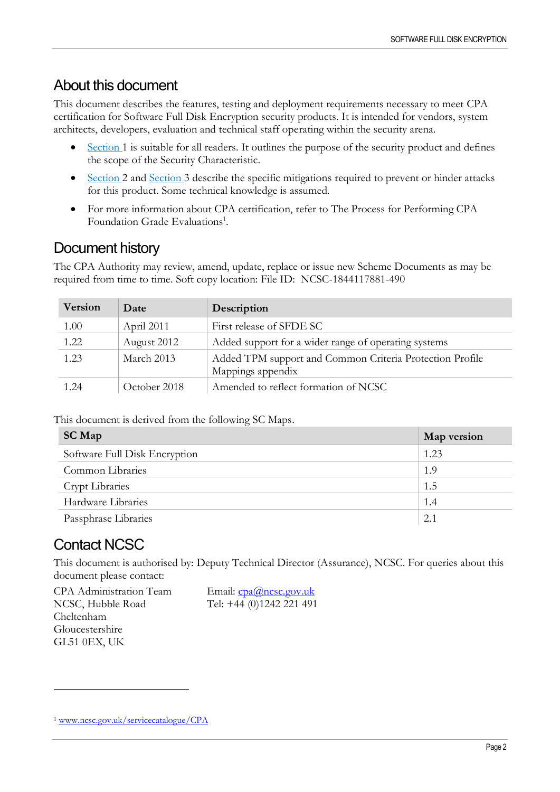## About this document

This document describes the features, testing and deployment requirements necessary to meet CPA certification for Software Full Disk Encryption security products. It is intended for vendors, system architects, developers, evaluation and technical staff operating within the security arena.

- [Section 1](#page-3-0) is suitable for all readers. It outlines the purpose of the security product and defines the scope of the Security Characteristic.
- [Section 2](#page-6-0) and [Section 3](#page-7-0) describe the specific mitigations required to prevent or hinder attacks for this product. Some technical knowledge is assumed.
- For more information about CPA certification, refer to The Process for Performing CPA Foundation Grade Evaluations<sup>1</sup>.

## Document history

The CPA Authority may review, amend, update, replace or issue new Scheme Documents as may be required from time to time. Soft copy location: File ID: NCSC-1844117881-490

| <b>Version</b> | Date         | Description                                                                   |  |
|----------------|--------------|-------------------------------------------------------------------------------|--|
| 1.00           | April 2011   | First release of SFDE SC                                                      |  |
| 1.22           | August 2012  | Added support for a wider range of operating systems                          |  |
| 1.23           | March 2013   | Added TPM support and Common Criteria Protection Profile<br>Mappings appendix |  |
| 1.24           | October 2018 | Amended to reflect formation of NCSC                                          |  |

This document is derived from the following SC Maps.

| <b>SC Map</b>                 | Map version |
|-------------------------------|-------------|
| Software Full Disk Encryption | 1.23        |
| Common Libraries              | 1.9         |
| <b>Crypt Libraries</b>        | 1.5         |
| Hardware Libraries            | 1.4         |
| Passphrase Libraries          | 2.1         |

## Contact NCSC

<u>.</u>

This document is authorised by: Deputy Technical Director (Assurance), NCSC. For queries about this document please contact:

CPA Administration Team NCSC, Hubble Road Cheltenham Gloucestershire GL51 0EX, UK

Email: [cpa@ncsc.gov.uk](mailto:cpa@ncsc.gov.uk) Tel: +44 (0)1242 221 491

<sup>1</sup> [www.ncsc.gov.uk/servicecatalogue/CPA](http://www.ncsc.gov.uk/servicecatalogue/CPA)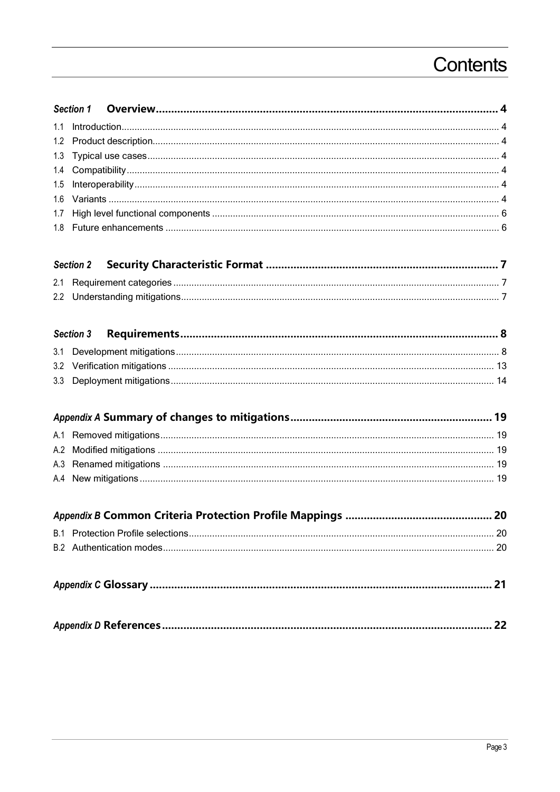## Contents

|--|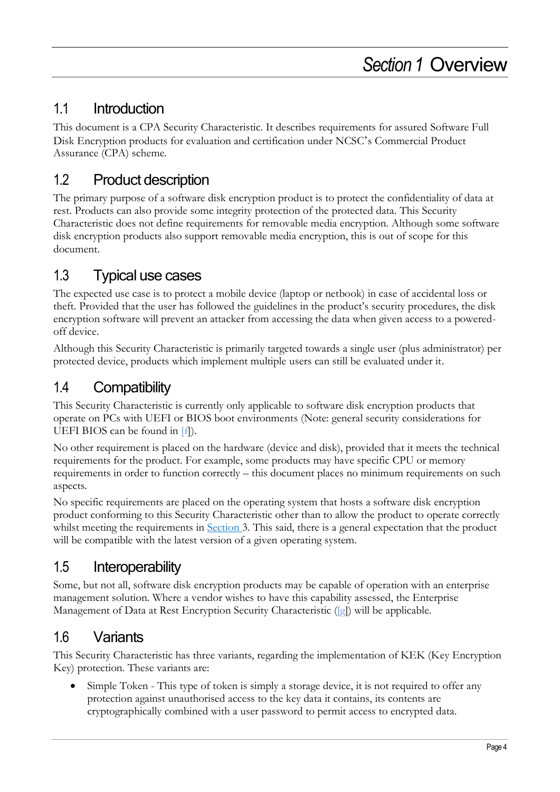## <span id="page-3-1"></span><span id="page-3-0"></span>1.1 Introduction

This document is a CPA Security Characteristic. It describes requirements for assured Software Full Disk Encryption products for evaluation and certification under NCSC's Commercial Product Assurance (CPA) scheme.

## <span id="page-3-2"></span>1.2 Product description

The primary purpose of a software disk encryption product is to protect the confidentiality of data at rest. Products can also provide some integrity protection of the protected data. This Security Characteristic does not define requirements for removable media encryption. Although some software disk encryption products also support removable media encryption, this is out of scope for this document.

## <span id="page-3-3"></span>1.3 Typical use cases

The expected use case is to protect a mobile device (laptop or netbook) in case of accidental loss or theft. Provided that the user has followed the guidelines in the product's security procedures, the disk encryption software will prevent an attacker from accessing the data when given access to a poweredoff device.

Although this Security Characteristic is primarily targeted towards a single user (plus administrator) per protected device, products which implement multiple users can still be evaluated under it.

## <span id="page-3-4"></span>1.4 Compatibility

This Security Characteristic is currently only applicable to software disk encryption products that operate on PCs with UEFI or BIOS boot environments (Note: general security considerations for UEFI BIOS can be found in [\[f\]\)](#page-21-1).

No other requirement is placed on the hardware (device and disk), provided that it meets the technical requirements for the product. For example, some products may have specific CPU or memory requirements in order to function correctly – this document places no minimum requirements on such aspects.

No specific requirements are placed on the operating system that hosts a software disk encryption product conforming to this Security Characteristic other than to allow the product to operate correctly whilst meeting the requirements in **Section 3**. This said, there is a general expectation that the product will be compatible with the latest version of a given operating system.

## <span id="page-3-5"></span>1.5 Interoperability

Some, but not all, software disk encryption products may be capable of operation with an enterprise management solution. Where a vendor wishes to have this capability assessed, the Enterprise Management of Data at Rest Encryption Security Characteristic [\(\[g\]\)](#page-21-2) will be applicable.

## <span id="page-3-6"></span>1.6 Variants

This Security Characteristic has three variants, regarding the implementation of KEK (Key Encryption Key) protection. These variants are:

Simple Token - This type of token is simply a storage device, it is not required to offer any protection against unauthorised access to the key data it contains, its contents are cryptographically combined with a user password to permit access to encrypted data.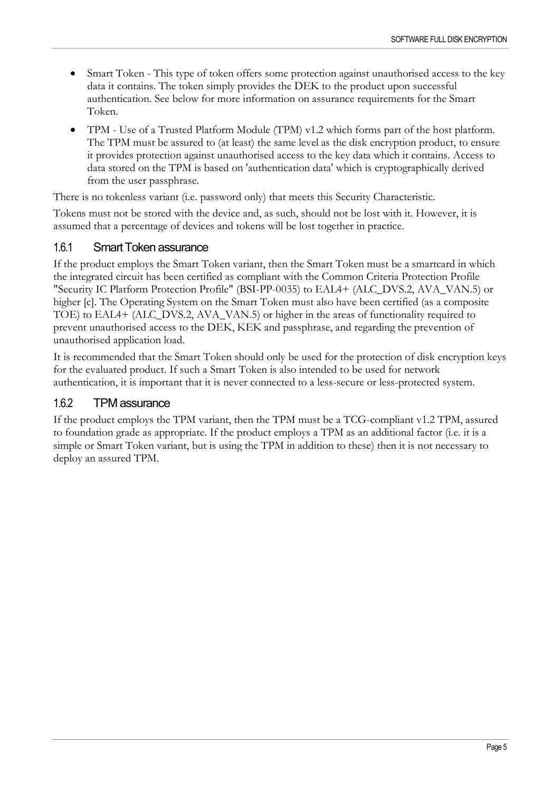- Smart Token This type of token offers some protection against unauthorised access to the key data it contains. The token simply provides the DEK to the product upon successful authentication. See below for more information on assurance requirements for the Smart Token.
- TPM Use of a Trusted Platform Module (TPM) v1.2 which forms part of the host platform. The TPM must be assured to (at least) the same level as the disk encryption product, to ensure it provides protection against unauthorised access to the key data which it contains. Access to data stored on the TPM is based on 'authentication data' which is cryptographically derived from the user passphrase.

There is no tokenless variant (i.e. password only) that meets this Security Characteristic.

Tokens must not be stored with the device and, as such, should not be lost with it. However, it is assumed that a percentage of devices and tokens will be lost together in practice.

## 1.6.1 Smart Token assurance

If the product employs the Smart Token variant, then the Smart Token must be a smartcard in which the integrated circuit has been certified as compliant with the Common Criteria Protection Profile "Security IC Platform Protection Profile" (BSI-PP-0035) to EAL4+ (ALC\_DVS.2, AVA\_VAN.5) or higher [c]. The Operating System on the Smart Token must also have been certified (as a composite TOE) to EAL4+ (ALC\_DVS.2, AVA\_VAN.5) or higher in the areas of functionality required to prevent unauthorised access to the DEK, KEK and passphrase, and regarding the prevention of unauthorised application load.

It is recommended that the Smart Token should only be used for the protection of disk encryption keys for the evaluated product. If such a Smart Token is also intended to be used for network authentication, it is important that it is never connected to a less-secure or less-protected system.

## 1.6.2 TPM assurance

If the product employs the TPM variant, then the TPM must be a TCG-compliant v1.2 TPM, assured to foundation grade as appropriate. If the product employs a TPM as an additional factor (i.e. it is a simple or Smart Token variant, but is using the TPM in addition to these) then it is not necessary to deploy an assured TPM.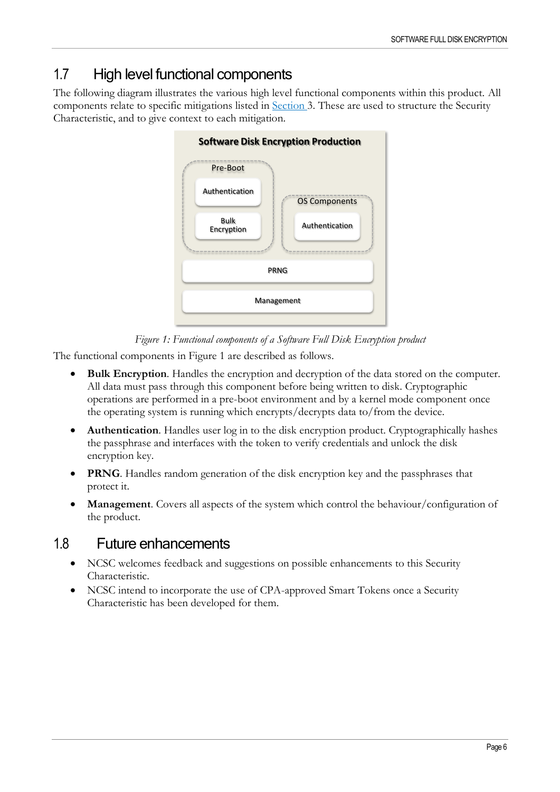## <span id="page-5-0"></span>1.7 High level functional components

The following diagram illustrates the various high level functional components within this product. All components relate to specific mitigations listed in [Section 3.](#page-7-0) These are used to structure the Security Characteristic, and to give context to each mitigation.



*Figure 1: Functional components of a Software Full Disk Encryption product*

<span id="page-5-2"></span>The functional components in [Figure 1](#page-5-2) are described as follows.

- **Bulk Encryption**. Handles the encryption and decryption of the data stored on the computer. All data must pass through this component before being written to disk. Cryptographic operations are performed in a pre-boot environment and by a kernel mode component once the operating system is running which encrypts/decrypts data to/from the device.
- **Authentication**. Handles user log in to the disk encryption product. Cryptographically hashes the passphrase and interfaces with the token to verify credentials and unlock the disk encryption key.
- **PRNG**. Handles random generation of the disk encryption key and the passphrases that protect it.
- <span id="page-5-1"></span>• **Management**. Covers all aspects of the system which control the behaviour/configuration of the product.

## 1.8 Future enhancements

- NCSC welcomes feedback and suggestions on possible enhancements to this Security Characteristic.
- NCSC intend to incorporate the use of CPA-approved Smart Tokens once a Security Characteristic has been developed for them.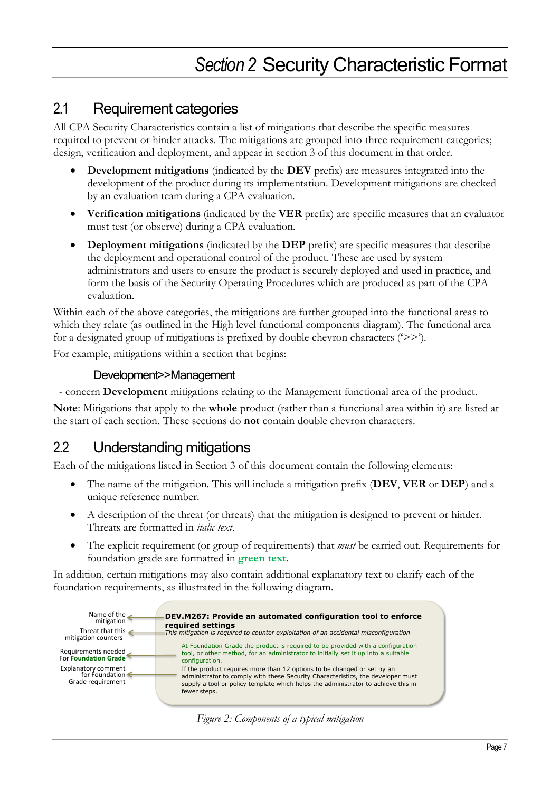## *Section 2* Security Characteristic Format

## <span id="page-6-1"></span><span id="page-6-0"></span>2.1 Requirement categories

All CPA Security Characteristics contain a list of mitigations that describe the specific measures required to prevent or hinder attacks. The mitigations are grouped into three requirement categories; design, verification and deployment, and appear in section 3 of this document in that order.

- **Development mitigations** (indicated by the **DEV** prefix) are measures integrated into the development of the product during its implementation. Development mitigations are checked by an evaluation team during a CPA evaluation.
- **Verification mitigations** (indicated by the **VER** prefix) are specific measures that an evaluator must test (or observe) during a CPA evaluation.
- **Deployment mitigations** (indicated by the **DEP** prefix) are specific measures that describe the deployment and operational control of the product. These are used by system administrators and users to ensure the product is securely deployed and used in practice, and form the basis of the Security Operating Procedures which are produced as part of the CPA evaluation.

Within each of the above categories, the mitigations are further grouped into the functional areas to which they relate (as outlined in the High level [functional components](#page-5-0) diagram). The functional area for a designated group of mitigations is prefixed by double chevron characters  $(\geq)$ .

For example, mitigations within a section that begins:

## Development>>Management

- concern **Development** mitigations relating to the Management functional area of the product.

**Note**: Mitigations that apply to the **whole** product (rather than a functional area within it) are listed at the start of each section. These sections do **not** contain double chevron characters.

## <span id="page-6-2"></span>2.2 Understanding mitigations

Each of the mitigations listed in Section 3 of this document contain the following elements:

- The name of the mitigation. This will include a mitigation prefix (**DEV**, **VER** or **DEP**) and a unique reference number.
- A description of the threat (or threats) that the mitigation is designed to prevent or hinder. Threats are formatted in *italic text*.
- The explicit requirement (or group of requirements) that *must* be carried out. Requirements for foundation grade are formatted in **green text**.

In addition, certain mitigations may also contain additional explanatory text to clarify each of the foundation requirements, as illustrated in the following diagram.



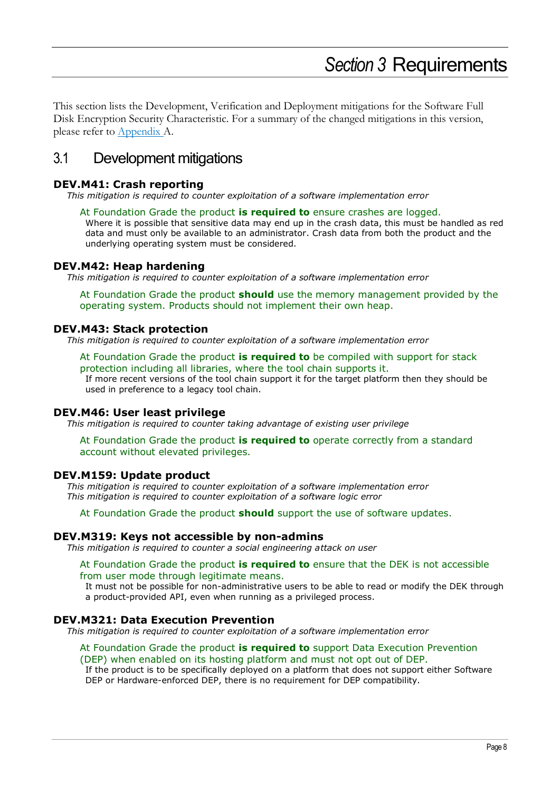## *Section 3* Requirements

<span id="page-7-0"></span>This section lists the Development, Verification and Deployment mitigations for the Software Full Disk Encryption Security Characteristic. For a summary of the changed mitigations in this version, please refer to [Appendix A.](#page-18-0)

## <span id="page-7-1"></span>3.1 Development mitigations

## **DEV.M41: Crash reporting**

*This mitigation is required to counter exploitation of a software implementation error*

At Foundation Grade the product **is required to** ensure crashes are logged. Where it is possible that sensitive data may end up in the crash data, this must be handled as red

data and must only be available to an administrator. Crash data from both the product and the underlying operating system must be considered.

## **DEV.M42: Heap hardening**

*This mitigation is required to counter exploitation of a software implementation error*

At Foundation Grade the product **should** use the memory management provided by the operating system. Products should not implement their own heap.

## **DEV.M43: Stack protection**

*This mitigation is required to counter exploitation of a software implementation error*

At Foundation Grade the product **is required to** be compiled with support for stack protection including all libraries, where the tool chain supports it. If more recent versions of the tool chain support it for the target platform then they should be used in preference to a legacy tool chain.

## **DEV.M46: User least privilege**

*This mitigation is required to counter taking advantage of existing user privilege*

At Foundation Grade the product **is required to** operate correctly from a standard account without elevated privileges.

## **DEV.M159: Update product**

*This mitigation is required to counter exploitation of a software implementation error This mitigation is required to counter exploitation of a software logic error*

At Foundation Grade the product **should** support the use of software updates.

## **DEV.M319: Keys not accessible by non-admins**

*This mitigation is required to counter a social engineering attack on user*

#### At Foundation Grade the product **is required to** ensure that the DEK is not accessible from user mode through legitimate means.

It must not be possible for non-administrative users to be able to read or modify the DEK through a product-provided API, even when running as a privileged process.

## **DEV.M321: Data Execution Prevention**

*This mitigation is required to counter exploitation of a software implementation error*

#### At Foundation Grade the product **is required to** support Data Execution Prevention (DEP) when enabled on its hosting platform and must not opt out of DEP.

If the product is to be specifically deployed on a platform that does not support either Software DEP or Hardware-enforced DEP, there is no requirement for DEP compatibility.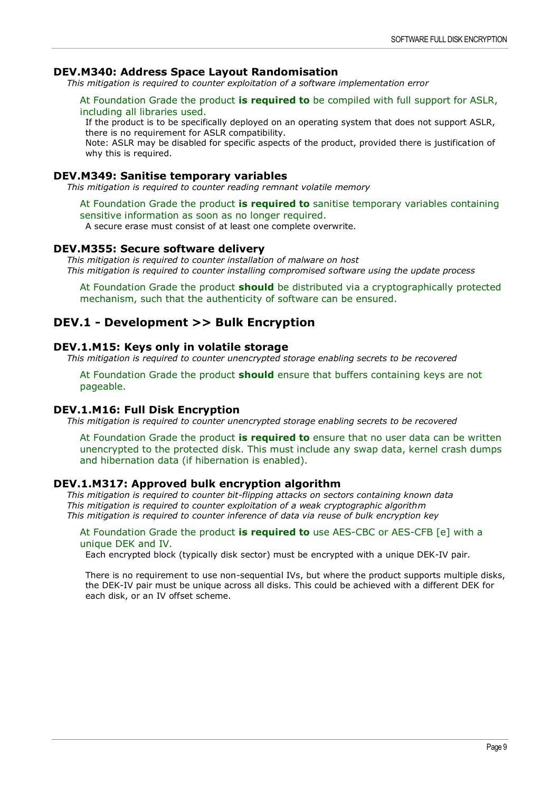## **DEV.M340: Address Space Layout Randomisation**

*This mitigation is required to counter exploitation of a software implementation error*

## At Foundation Grade the product **is required to** be compiled with full support for ASLR, including all libraries used.

If the product is to be specifically deployed on an operating system that does not support ASLR, there is no requirement for ASLR compatibility.

Note: ASLR may be disabled for specific aspects of the product, provided there is justification of why this is required.

## **DEV.M349: Sanitise temporary variables**

*This mitigation is required to counter reading remnant volatile memory*

#### At Foundation Grade the product **is required to** sanitise temporary variables containing sensitive information as soon as no longer required.

A secure erase must consist of at least one complete overwrite.

## **DEV.M355: Secure software delivery**

*This mitigation is required to counter installation of malware on host This mitigation is required to counter installing compromised software using the update process*

At Foundation Grade the product **should** be distributed via a cryptographically protected mechanism, such that the authenticity of software can be ensured.

## **DEV.1 - Development >> Bulk Encryption**

## **DEV.1.M15: Keys only in volatile storage**

*This mitigation is required to counter unencrypted storage enabling secrets to be recovered*

At Foundation Grade the product **should** ensure that buffers containing keys are not pageable.

## **DEV.1.M16: Full Disk Encryption**

*This mitigation is required to counter unencrypted storage enabling secrets to be recovered*

At Foundation Grade the product **is required to** ensure that no user data can be written unencrypted to the protected disk. This must include any swap data, kernel crash dumps and hibernation data (if hibernation is enabled).

## **DEV.1.M317: Approved bulk encryption algorithm**

*This mitigation is required to counter bit-flipping attacks on sectors containing known data This mitigation is required to counter exploitation of a weak cryptographic algorithm This mitigation is required to counter inference of data via reuse of bulk encryption key*

#### At Foundation Grade the product **is required to** use AES-CBC or AES-CFB [e] with a unique DEK and IV.

Each encrypted block (typically disk sector) must be encrypted with a unique DEK-IV pair.

There is no requirement to use non-sequential IVs, but where the product supports multiple disks, the DEK-IV pair must be unique across all disks. This could be achieved with a different DEK for each disk, or an IV offset scheme.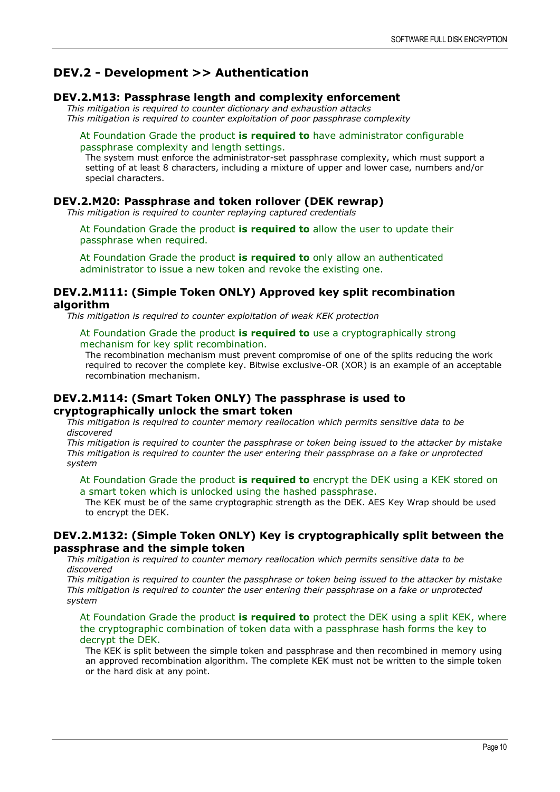## **DEV.2 - Development >> Authentication**

## **DEV.2.M13: Passphrase length and complexity enforcement**

*This mitigation is required to counter dictionary and exhaustion attacks This mitigation is required to counter exploitation of poor passphrase complexity*

## At Foundation Grade the product **is required to** have administrator configurable passphrase complexity and length settings.

The system must enforce the administrator-set passphrase complexity, which must support a setting of at least 8 characters, including a mixture of upper and lower case, numbers and/or special characters.

## **DEV.2.M20: Passphrase and token rollover (DEK rewrap)**

*This mitigation is required to counter replaying captured credentials*

At Foundation Grade the product **is required to** allow the user to update their passphrase when required.

At Foundation Grade the product **is required to** only allow an authenticated administrator to issue a new token and revoke the existing one.

## **DEV.2.M111: (Simple Token ONLY) Approved key split recombination algorithm**

*This mitigation is required to counter exploitation of weak KEK protection*

## At Foundation Grade the product **is required to** use a cryptographically strong mechanism for key split recombination.

The recombination mechanism must prevent compromise of one of the splits reducing the work required to recover the complete key. Bitwise exclusive-OR (XOR) is an example of an acceptable recombination mechanism.

## **DEV.2.M114: (Smart Token ONLY) The passphrase is used to cryptographically unlock the smart token**

*This mitigation is required to counter memory reallocation which permits sensitive data to be discovered*

*This mitigation is required to counter the passphrase or token being issued to the attacker by mistake This mitigation is required to counter the user entering their passphrase on a fake or unprotected system*

At Foundation Grade the product **is required to** encrypt the DEK using a KEK stored on a smart token which is unlocked using the hashed passphrase.

The KEK must be of the same cryptographic strength as the DEK. AES Key Wrap should be used to encrypt the DEK.

## **DEV.2.M132: (Simple Token ONLY) Key is cryptographically split between the passphrase and the simple token**

*This mitigation is required to counter memory reallocation which permits sensitive data to be discovered*

*This mitigation is required to counter the passphrase or token being issued to the attacker by mistake This mitigation is required to counter the user entering their passphrase on a fake or unprotected system*

At Foundation Grade the product **is required to** protect the DEK using a split KEK, where the cryptographic combination of token data with a passphrase hash forms the key to decrypt the DEK.

The KEK is split between the simple token and passphrase and then recombined in memory using an approved recombination algorithm. The complete KEK must not be written to the simple token or the hard disk at any point.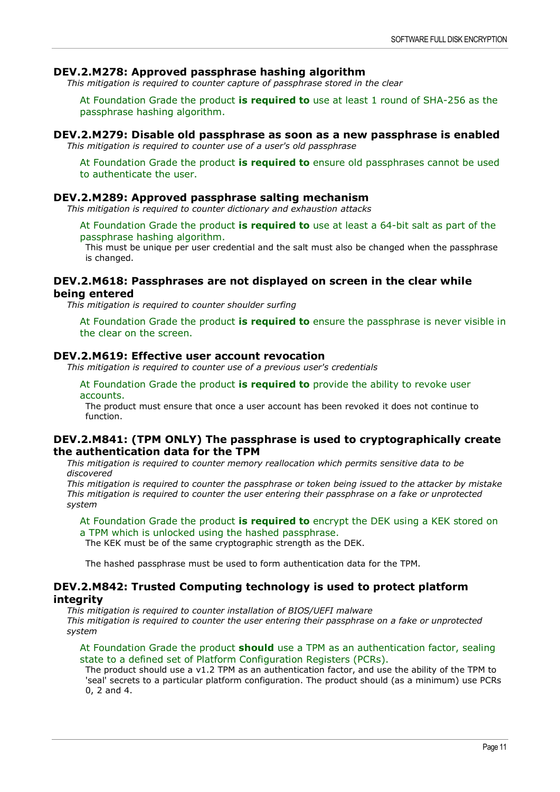## **DEV.2.M278: Approved passphrase hashing algorithm**

*This mitigation is required to counter capture of passphrase stored in the clear*

At Foundation Grade the product **is required to** use at least 1 round of SHA-256 as the passphrase hashing algorithm.

## **DEV.2.M279: Disable old passphrase as soon as a new passphrase is enabled**

*This mitigation is required to counter use of a user's old passphrase*

At Foundation Grade the product **is required to** ensure old passphrases cannot be used to authenticate the user.

## **DEV.2.M289: Approved passphrase salting mechanism**

*This mitigation is required to counter dictionary and exhaustion attacks*

At Foundation Grade the product **is required to** use at least a 64-bit salt as part of the passphrase hashing algorithm.

This must be unique per user credential and the salt must also be changed when the passphrase is changed.

## **DEV.2.M618: Passphrases are not displayed on screen in the clear while being entered**

*This mitigation is required to counter shoulder surfing*

At Foundation Grade the product **is required to** ensure the passphrase is never visible in the clear on the screen.

## **DEV.2.M619: Effective user account revocation**

*This mitigation is required to counter use of a previous user's credentials*

At Foundation Grade the product **is required to** provide the ability to revoke user accounts.

The product must ensure that once a user account has been revoked it does not continue to function.

## **DEV.2.M841: (TPM ONLY) The passphrase is used to cryptographically create the authentication data for the TPM**

*This mitigation is required to counter memory reallocation which permits sensitive data to be discovered*

*This mitigation is required to counter the passphrase or token being issued to the attacker by mistake This mitigation is required to counter the user entering their passphrase on a fake or unprotected system*

At Foundation Grade the product **is required to** encrypt the DEK using a KEK stored on a TPM which is unlocked using the hashed passphrase.

The KEK must be of the same cryptographic strength as the DEK.

The hashed passphrase must be used to form authentication data for the TPM.

## **DEV.2.M842: Trusted Computing technology is used to protect platform integrity**

*This mitigation is required to counter installation of BIOS/UEFI malware This mitigation is required to counter the user entering their passphrase on a fake or unprotected system*

#### At Foundation Grade the product **should** use a TPM as an authentication factor, sealing state to a defined set of Platform Configuration Registers (PCRs).

The product should use a v1.2 TPM as an authentication factor, and use the ability of the TPM to 'seal' secrets to a particular platform configuration. The product should (as a minimum) use PCRs 0, 2 and 4.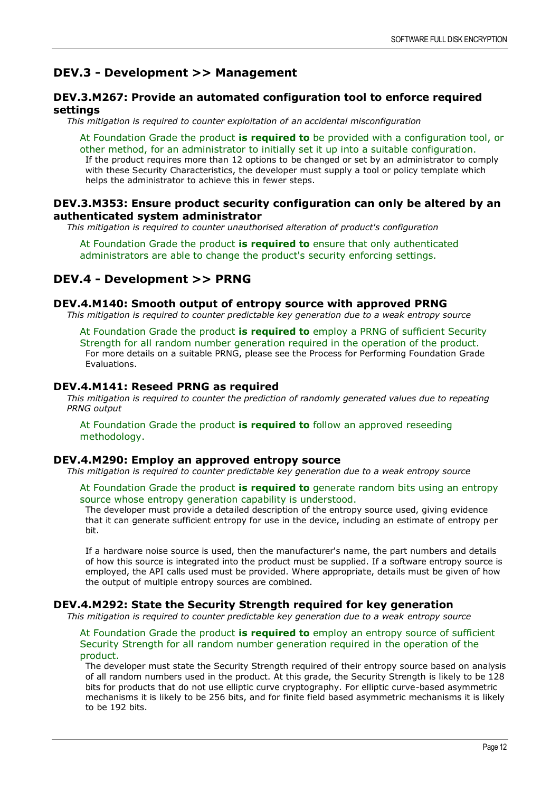## **DEV.3 - Development >> Management**

## **DEV.3.M267: Provide an automated configuration tool to enforce required settings**

*This mitigation is required to counter exploitation of an accidental misconfiguration*

At Foundation Grade the product **is required to** be provided with a configuration tool, or other method, for an administrator to initially set it up into a suitable configuration. If the product requires more than 12 options to be changed or set by an administrator to comply with these Security Characteristics, the developer must supply a tool or policy template which helps the administrator to achieve this in fewer steps.

## **DEV.3.M353: Ensure product security configuration can only be altered by an authenticated system administrator**

*This mitigation is required to counter unauthorised alteration of product's configuration*

At Foundation Grade the product **is required to** ensure that only authenticated administrators are able to change the product's security enforcing settings.

## **DEV.4 - Development >> PRNG**

## **DEV.4.M140: Smooth output of entropy source with approved PRNG**

*This mitigation is required to counter predictable key generation due to a weak entropy source*

At Foundation Grade the product **is required to** employ a PRNG of sufficient Security Strength for all random number generation required in the operation of the product. For more details on a suitable PRNG, please see the Process for Performing Foundation Grade Evaluations.

## **DEV.4.M141: Reseed PRNG as required**

*This mitigation is required to counter the prediction of randomly generated values due to repeating PRNG output*

#### At Foundation Grade the product **is required to** follow an approved reseeding methodology.

#### **DEV.4.M290: Employ an approved entropy source**

*This mitigation is required to counter predictable key generation due to a weak entropy source*

At Foundation Grade the product **is required to** generate random bits using an entropy source whose entropy generation capability is understood.

The developer must provide a detailed description of the entropy source used, giving evidence that it can generate sufficient entropy for use in the device, including an estimate of entropy per bit.

If a hardware noise source is used, then the manufacturer's name, the part numbers and details of how this source is integrated into the product must be supplied. If a software entropy source is employed, the API calls used must be provided. Where appropriate, details must be given of how the output of multiple entropy sources are combined.

## **DEV.4.M292: State the Security Strength required for key generation**

*This mitigation is required to counter predictable key generation due to a weak entropy source*

## At Foundation Grade the product **is required to** employ an entropy source of sufficient Security Strength for all random number generation required in the operation of the product.

The developer must state the Security Strength required of their entropy source based on analysis of all random numbers used in the product. At this grade, the Security Strength is likely to be 128 bits for products that do not use elliptic curve cryptography. For elliptic curve-based asymmetric mechanisms it is likely to be 256 bits, and for finite field based asymmetric mechanisms it is likely to be 192 bits.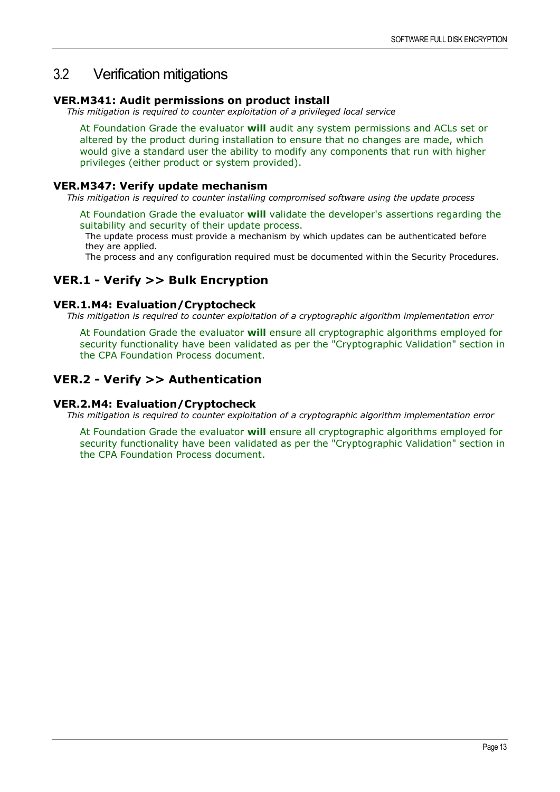## <span id="page-12-0"></span>3.2 Verification mitigations

## **VER.M341: Audit permissions on product install**

*This mitigation is required to counter exploitation of a privileged local service*

At Foundation Grade the evaluator **will** audit any system permissions and ACLs set or altered by the product during installation to ensure that no changes are made, which would give a standard user the ability to modify any components that run with higher privileges (either product or system provided).

## **VER.M347: Verify update mechanism**

*This mitigation is required to counter installing compromised software using the update process*

At Foundation Grade the evaluator **will** validate the developer's assertions regarding the suitability and security of their update process.

The update process must provide a mechanism by which updates can be authenticated before they are applied.

The process and any configuration required must be documented within the Security Procedures.

## **VER.1 - Verify >> Bulk Encryption**

## **VER.1.M4: Evaluation/Cryptocheck**

*This mitigation is required to counter exploitation of a cryptographic algorithm implementation error*

At Foundation Grade the evaluator **will** ensure all cryptographic algorithms employed for security functionality have been validated as per the "Cryptographic Validation" section in the CPA Foundation Process document.

## **VER.2 - Verify >> Authentication**

## **VER.2.M4: Evaluation/Cryptocheck**

*This mitigation is required to counter exploitation of a cryptographic algorithm implementation error*

At Foundation Grade the evaluator **will** ensure all cryptographic algorithms employed for security functionality have been validated as per the "Cryptographic Validation" section in the CPA Foundation Process document.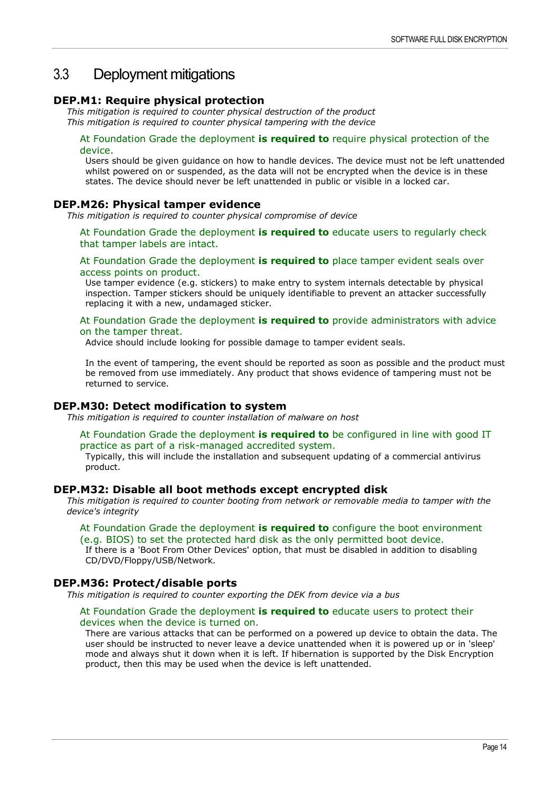## <span id="page-13-0"></span>3.3 Deployment mitigations

## **DEP.M1: Require physical protection**

*This mitigation is required to counter physical destruction of the product This mitigation is required to counter physical tampering with the device*

## At Foundation Grade the deployment **is required to** require physical protection of the device.

Users should be given guidance on how to handle devices. The device must not be left unattended whilst powered on or suspended, as the data will not be encrypted when the device is in these states. The device should never be left unattended in public or visible in a locked car.

## **DEP.M26: Physical tamper evidence**

*This mitigation is required to counter physical compromise of device*

At Foundation Grade the deployment **is required to** educate users to regularly check that tamper labels are intact.

At Foundation Grade the deployment **is required to** place tamper evident seals over access points on product.

Use tamper evidence (e.g. stickers) to make entry to system internals detectable by physical inspection. Tamper stickers should be uniquely identifiable to prevent an attacker successfully replacing it with a new, undamaged sticker.

#### At Foundation Grade the deployment **is required to** provide administrators with advice on the tamper threat.

Advice should include looking for possible damage to tamper evident seals.

In the event of tampering, the event should be reported as soon as possible and the product must be removed from use immediately. Any product that shows evidence of tampering must not be returned to service.

## **DEP.M30: Detect modification to system**

*This mitigation is required to counter installation of malware on host*

## At Foundation Grade the deployment **is required to** be configured in line with good IT practice as part of a risk-managed accredited system.

Typically, this will include the installation and subsequent updating of a commercial antivirus product.

## **DEP.M32: Disable all boot methods except encrypted disk**

*This mitigation is required to counter booting from network or removable media to tamper with the device's integrity*

#### At Foundation Grade the deployment **is required to** configure the boot environment (e.g. BIOS) to set the protected hard disk as the only permitted boot device.

If there is a 'Boot From Other Devices' option, that must be disabled in addition to disabling CD/DVD/Floppy/USB/Network.

## **DEP.M36: Protect/disable ports**

*This mitigation is required to counter exporting the DEK from device via a bus*

#### At Foundation Grade the deployment **is required to** educate users to protect their devices when the device is turned on.

There are various attacks that can be performed on a powered up device to obtain the data. The user should be instructed to never leave a device unattended when it is powered up or in 'sleep' mode and always shut it down when it is left. If hibernation is supported by the Disk Encryption product, then this may be used when the device is left unattended.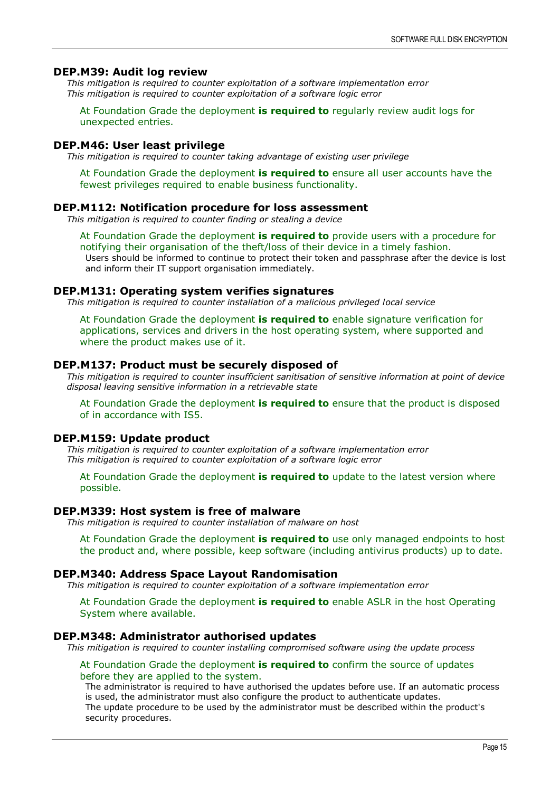#### **DEP.M39: Audit log review**

*This mitigation is required to counter exploitation of a software implementation error This mitigation is required to counter exploitation of a software logic error*

At Foundation Grade the deployment **is required to** regularly review audit logs for unexpected entries.

#### **DEP.M46: User least privilege**

*This mitigation is required to counter taking advantage of existing user privilege*

At Foundation Grade the deployment **is required to** ensure all user accounts have the fewest privileges required to enable business functionality.

#### **DEP.M112: Notification procedure for loss assessment**

*This mitigation is required to counter finding or stealing a device*

At Foundation Grade the deployment **is required to** provide users with a procedure for notifying their organisation of the theft/loss of their device in a timely fashion. Users should be informed to continue to protect their token and passphrase after the device is lost and inform their IT support organisation immediately.

#### **DEP.M131: Operating system verifies signatures**

*This mitigation is required to counter installation of a malicious privileged local service*

At Foundation Grade the deployment **is required to** enable signature verification for applications, services and drivers in the host operating system, where supported and where the product makes use of it.

## **DEP.M137: Product must be securely disposed of**

*This mitigation is required to counter insufficient sanitisation of sensitive information at point of device disposal leaving sensitive information in a retrievable state*

At Foundation Grade the deployment **is required to** ensure that the product is disposed of in accordance with IS5.

## **DEP.M159: Update product**

*This mitigation is required to counter exploitation of a software implementation error This mitigation is required to counter exploitation of a software logic error*

At Foundation Grade the deployment **is required to** update to the latest version where possible.

#### **DEP.M339: Host system is free of malware**

*This mitigation is required to counter installation of malware on host*

At Foundation Grade the deployment **is required to** use only managed endpoints to host the product and, where possible, keep software (including antivirus products) up to date.

## **DEP.M340: Address Space Layout Randomisation**

*This mitigation is required to counter exploitation of a software implementation error*

At Foundation Grade the deployment **is required to** enable ASLR in the host Operating System where available.

## **DEP.M348: Administrator authorised updates**

*This mitigation is required to counter installing compromised software using the update process*

#### At Foundation Grade the deployment **is required to** confirm the source of updates before they are applied to the system.

The administrator is required to have authorised the updates before use. If an automatic process is used, the administrator must also configure the product to authenticate updates. The update procedure to be used by the administrator must be described within the product's security procedures.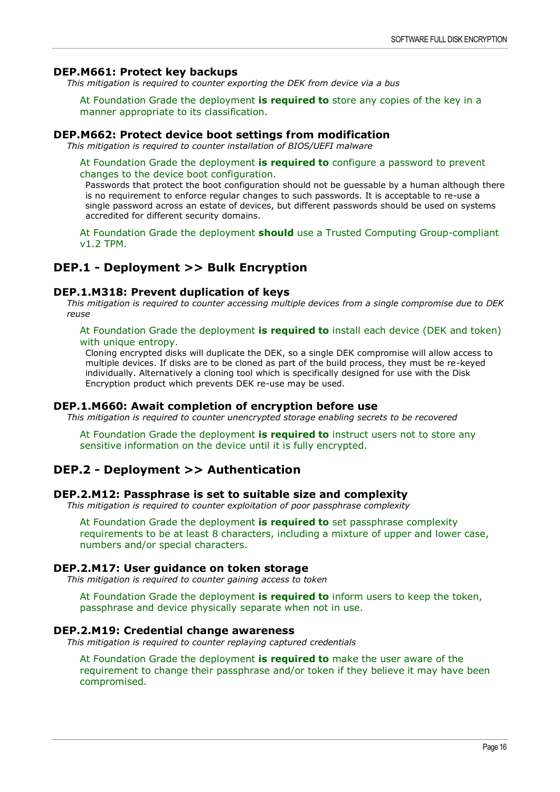## **DEP.M661: Protect key backups**

*This mitigation is required to counter exporting the DEK from device via a bus*

At Foundation Grade the deployment **is required to** store any copies of the key in a manner appropriate to its classification.

## **DEP.M662: Protect device boot settings from modification**

*This mitigation is required to counter installation of BIOS/UEFI malware*

## At Foundation Grade the deployment **is required to** configure a password to prevent changes to the device boot configuration.

Passwords that protect the boot configuration should not be guessable by a human although there is no requirement to enforce regular changes to such passwords. It is acceptable to re-use a single password across an estate of devices, but different passwords should be used on systems accredited for different security domains.

At Foundation Grade the deployment **should** use a Trusted Computing Group-compliant v1.2 TPM.

## **DEP.1 - Deployment >> Bulk Encryption**

## **DEP.1.M318: Prevent duplication of keys**

*This mitigation is required to counter accessing multiple devices from a single compromise due to DEK reuse*

## At Foundation Grade the deployment **is required to** install each device (DEK and token) with unique entropy.

Cloning encrypted disks will duplicate the DEK, so a single DEK compromise will allow access to multiple devices. If disks are to be cloned as part of the build process, they must be re-keyed individually. Alternatively a cloning tool which is specifically designed for use with the Disk Encryption product which prevents DEK re-use may be used.

## **DEP.1.M660: Await completion of encryption before use**

*This mitigation is required to counter unencrypted storage enabling secrets to be recovered*

At Foundation Grade the deployment **is required to** instruct users not to store any sensitive information on the device until it is fully encrypted.

## **DEP.2 - Deployment >> Authentication**

## **DEP.2.M12: Passphrase is set to suitable size and complexity**

*This mitigation is required to counter exploitation of poor passphrase complexity*

At Foundation Grade the deployment **is required to** set passphrase complexity requirements to be at least 8 characters, including a mixture of upper and lower case, numbers and/or special characters.

## **DEP.2.M17: User guidance on token storage**

*This mitigation is required to counter gaining access to token*

At Foundation Grade the deployment **is required to** inform users to keep the token, passphrase and device physically separate when not in use.

#### **DEP.2.M19: Credential change awareness**

*This mitigation is required to counter replaying captured credentials*

At Foundation Grade the deployment **is required to** make the user aware of the requirement to change their passphrase and/or token if they believe it may have been compromised.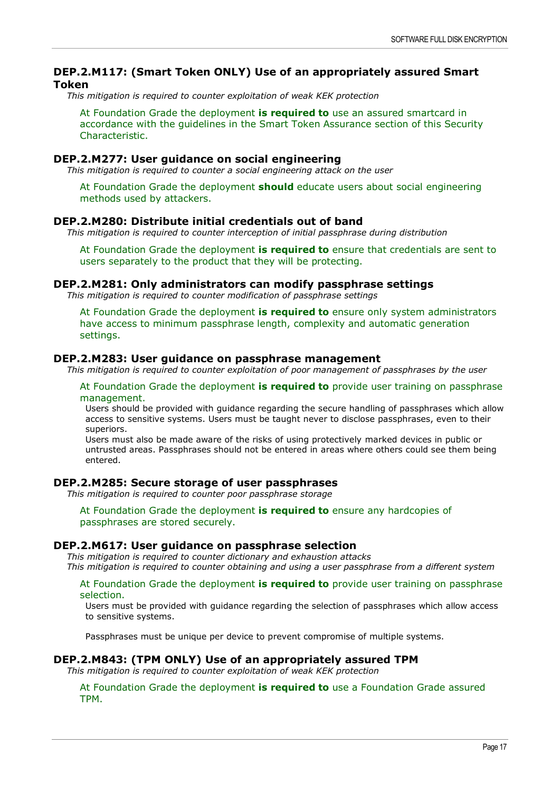## **DEP.2.M117: (Smart Token ONLY) Use of an appropriately assured Smart Token**

*This mitigation is required to counter exploitation of weak KEK protection*

At Foundation Grade the deployment **is required to** use an assured smartcard in accordance with the guidelines in the Smart Token Assurance section of this Security Characteristic.

## **DEP.2.M277: User guidance on social engineering**

*This mitigation is required to counter a social engineering attack on the user*

At Foundation Grade the deployment **should** educate users about social engineering methods used by attackers.

## **DEP.2.M280: Distribute initial credentials out of band**

*This mitigation is required to counter interception of initial passphrase during distribution*

At Foundation Grade the deployment **is required to** ensure that credentials are sent to users separately to the product that they will be protecting.

#### **DEP.2.M281: Only administrators can modify passphrase settings**

*This mitigation is required to counter modification of passphrase settings*

At Foundation Grade the deployment **is required to** ensure only system administrators have access to minimum passphrase length, complexity and automatic generation settings.

## **DEP.2.M283: User guidance on passphrase management**

*This mitigation is required to counter exploitation of poor management of passphrases by the user*

#### At Foundation Grade the deployment **is required to** provide user training on passphrase management.

Users should be provided with guidance regarding the secure handling of passphrases which allow access to sensitive systems. Users must be taught never to disclose passphrases, even to their superiors.

Users must also be made aware of the risks of using protectively marked devices in public or untrusted areas. Passphrases should not be entered in areas where others could see them being entered.

## **DEP.2.M285: Secure storage of user passphrases**

*This mitigation is required to counter poor passphrase storage*

At Foundation Grade the deployment **is required to** ensure any hardcopies of passphrases are stored securely.

## **DEP.2.M617: User guidance on passphrase selection**

*This mitigation is required to counter dictionary and exhaustion attacks This mitigation is required to counter obtaining and using a user passphrase from a different system*

#### At Foundation Grade the deployment **is required to** provide user training on passphrase selection.

Users must be provided with guidance regarding the selection of passphrases which allow access to sensitive systems.

Passphrases must be unique per device to prevent compromise of multiple systems.

#### **DEP.2.M843: (TPM ONLY) Use of an appropriately assured TPM**

*This mitigation is required to counter exploitation of weak KEK protection*

At Foundation Grade the deployment **is required to** use a Foundation Grade assured TPM.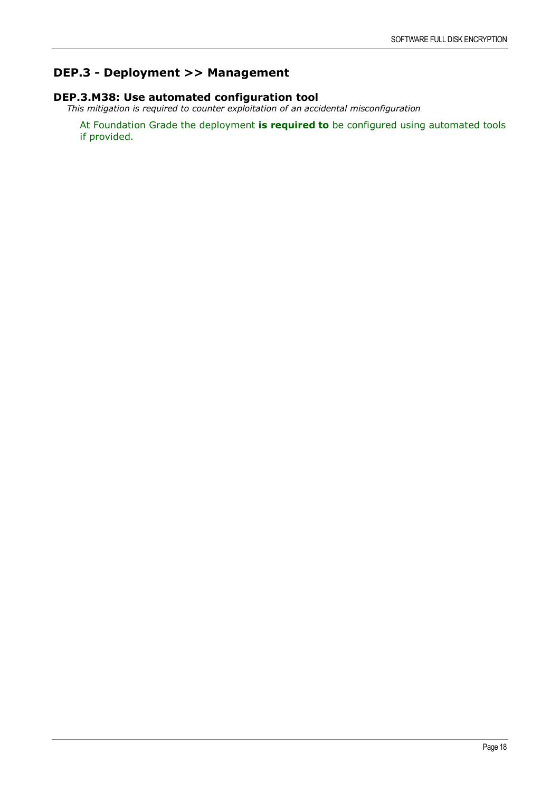## **DEP.3 - Deployment >> Management**

## **DEP.3.M38: Use automated configuration tool**

*This mitigation is required to counter exploitation of an accidental misconfiguration*

At Foundation Grade the deployment **is required to** be configured using automated tools if provided.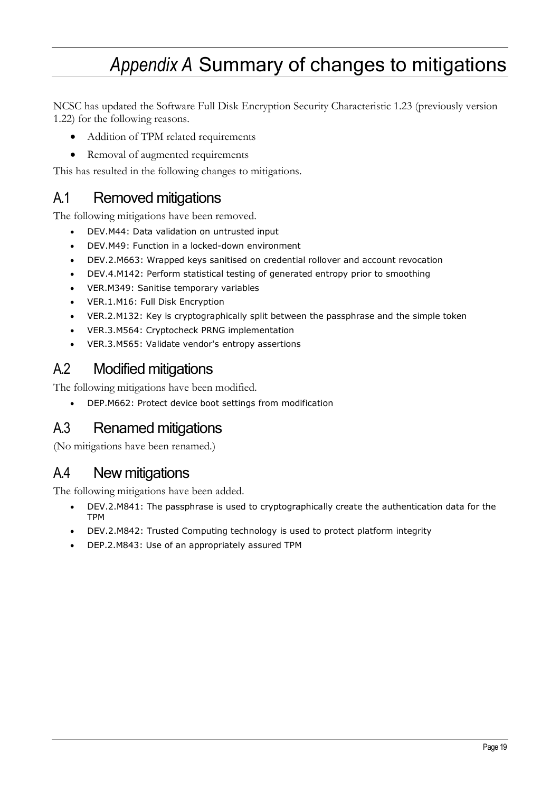## *Appendix A* Summary of changes to mitigations

<span id="page-18-0"></span>NCSC has updated the Software Full Disk Encryption Security Characteristic 1.23 (previously version 1.22) for the following reasons.

- Addition of TPM related requirements
- Removal of augmented requirements

This has resulted in the following changes to mitigations.

## <span id="page-18-1"></span>A.1 Removed mitigations

The following mitigations have been removed.

- DEV.M44: Data validation on untrusted input
- DEV.M49: Function in a locked-down environment
- DEV.2.M663: Wrapped keys sanitised on credential rollover and account revocation
- DEV.4.M142: Perform statistical testing of generated entropy prior to smoothing
- VER.M349: Sanitise temporary variables
- VER.1.M16: Full Disk Encryption
- VER.2.M132: Key is cryptographically split between the passphrase and the simple token
- VER.3.M564: Cryptocheck PRNG implementation
- VER.3.M565: Validate vendor's entropy assertions

## <span id="page-18-2"></span>A.2 Modified mitigations

The following mitigations have been modified.

• DEP.M662: Protect device boot settings from modification

## <span id="page-18-3"></span>A.3 Renamed mitigations

(No mitigations have been renamed.)

## <span id="page-18-4"></span>A.4 New mitigations

The following mitigations have been added.

- DEV.2.M841: The passphrase is used to cryptographically create the authentication data for the TPM
- DEV.2.M842: Trusted Computing technology is used to protect platform integrity
- DEP.2.M843: Use of an appropriately assured TPM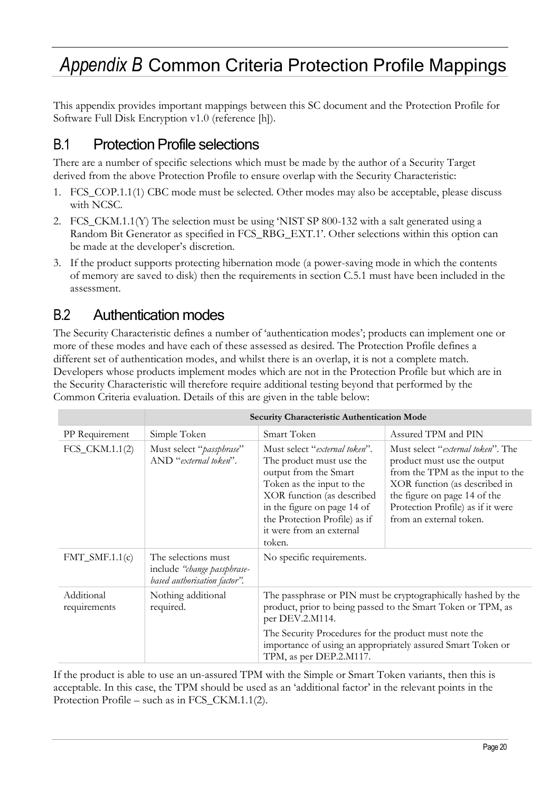## <span id="page-19-0"></span>*Appendix B* Common Criteria Protection Profile Mappings

This appendix provides important mappings between this SC document and the Protection Profile for Software Full Disk Encryption v1.0 (reference [\[h\]\)](#page-21-3).

## <span id="page-19-1"></span>B.1 Protection Profile selections

There are a number of specific selections which must be made by the author of a Security Target derived from the above Protection Profile to ensure overlap with the Security Characteristic:

- 1. FCS\_COP.1.1(1) CBC mode must be selected. Other modes may also be acceptable, please discuss with NCSC.
- 2. FCS\_CKM.1.1(Y) The selection must be using 'NIST SP 800-132 with a salt generated using a Random Bit Generator as specified in FCS\_RBG\_EXT.1'. Other selections within this option can be made at the developer's discretion.
- 3. If the product supports protecting hibernation mode (a power-saving mode in which the contents of memory are saved to disk) then the requirements in section C.5.1 must have been included in the assessment.

## <span id="page-19-2"></span>B.2 Authentication modes

The Security Characteristic defines a number of 'authentication modes'; products can implement one or more of these modes and have each of these assessed as desired. The Protection Profile defines a different set of authentication modes, and whilst there is an overlap, it is not a complete match. Developers whose products implement modes which are not in the Protection Profile but which are in the Security Characteristic will therefore require additional testing beyond that performed by the Common Criteria evaluation. Details of this are given in the table below:

|                            | Security Characteristic Authentication Mode                                        |                                                                                                                                                                                                                                                     |                                                                                                                                                                                                                                                |  |
|----------------------------|------------------------------------------------------------------------------------|-----------------------------------------------------------------------------------------------------------------------------------------------------------------------------------------------------------------------------------------------------|------------------------------------------------------------------------------------------------------------------------------------------------------------------------------------------------------------------------------------------------|--|
| PP Requirement             | Simple Token                                                                       | Smart Token                                                                                                                                                                                                                                         | Assured TPM and PIN                                                                                                                                                                                                                            |  |
| $FCS_CKM.1.1(2)$           | Must select "passphrase"<br>AND "external token".                                  | Must select "external token".<br>The product must use the<br>output from the Smart<br>Token as the input to the<br>XOR function (as described<br>in the figure on page 14 of<br>the Protection Profile) as if<br>it were from an external<br>token. | Must select " <i>external token</i> ". The<br>product must use the output<br>from the TPM as the input to the<br>XOR function (as described in<br>the figure on page 14 of the<br>Protection Profile) as if it were<br>from an external token. |  |
| $FMT\_SMF.1.1(c)$          | The selections must<br>include "change passphrase-<br>based authorisation factor". | No specific requirements.                                                                                                                                                                                                                           |                                                                                                                                                                                                                                                |  |
| Additional<br>requirements | Nothing additional<br>required.                                                    | The passphrase or PIN must be cryptographically hashed by the<br>product, prior to being passed to the Smart Token or TPM, as<br>per DEV.2.M114.                                                                                                    |                                                                                                                                                                                                                                                |  |
|                            |                                                                                    | The Security Procedures for the product must note the<br>TPM, as per DEP.2.M117.                                                                                                                                                                    | importance of using an appropriately assured Smart Token or                                                                                                                                                                                    |  |

If the product is able to use an un-assured TPM with the Simple or Smart Token variants, then this is acceptable. In this case, the TPM should be used as an 'additional factor' in the relevant points in the Protection Profile – such as in FCS\_CKM.1.1(2).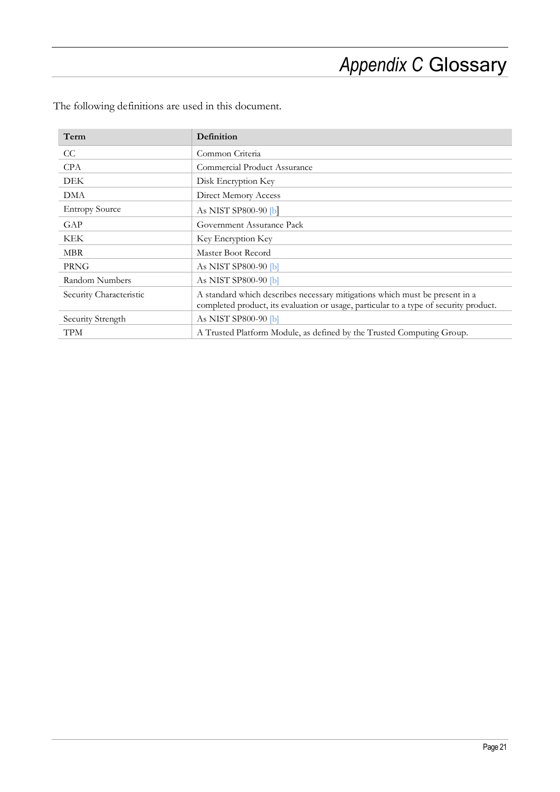# *Appendix C* Glossary

| Term                    | Definition                                                                                                                                                           |
|-------------------------|----------------------------------------------------------------------------------------------------------------------------------------------------------------------|
| CC.                     | Common Criteria                                                                                                                                                      |
| <b>CPA</b>              | Commercial Product Assurance                                                                                                                                         |
| <b>DEK</b>              | Disk Encryption Key                                                                                                                                                  |
| <b>DMA</b>              | Direct Memory Access                                                                                                                                                 |
| <b>Entropy Source</b>   | As NIST SP800-90 $[b]$                                                                                                                                               |
| GAP                     | Government Assurance Pack                                                                                                                                            |
| <b>KEK</b>              | Key Encryption Key                                                                                                                                                   |
| <b>MBR</b>              | Master Boot Record                                                                                                                                                   |
| <b>PRNG</b>             | As NIST SP800-90 [b]                                                                                                                                                 |
| Random Numbers          | As NIST SP800-90 [b]                                                                                                                                                 |
| Security Characteristic | A standard which describes necessary mitigations which must be present in a<br>completed product, its evaluation or usage, particular to a type of security product. |
| Security Strength       | As NIST SP800-90 [b]                                                                                                                                                 |
| <b>TPM</b>              | A Trusted Platform Module, as defined by the Trusted Computing Group.                                                                                                |

<span id="page-20-0"></span>The following definitions are used in this document.